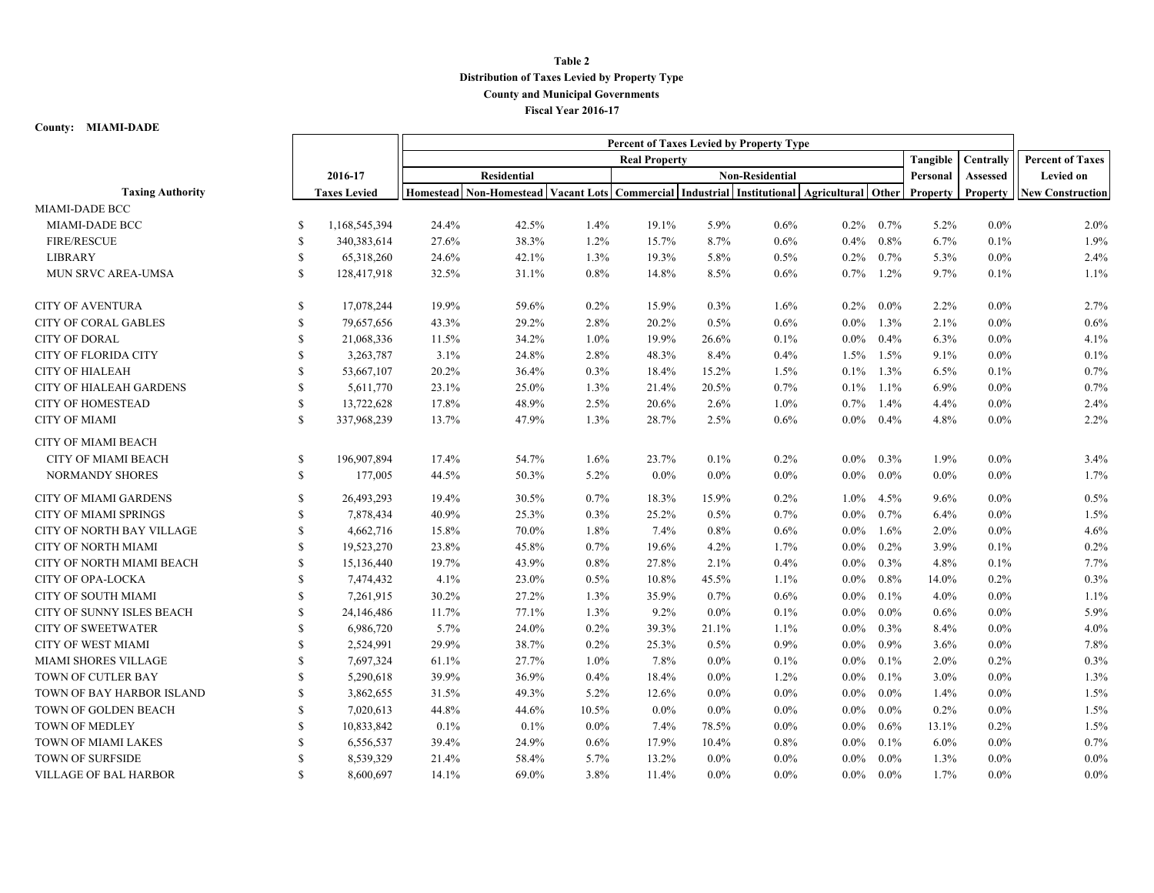## **Table 2 Distribution of Taxes Levied by Property Type County and Municipal Governments Fiscal Year 2016-17**

## **County: MIAMI-DADE**

|                                  | Percent of Taxes Levied by Property Type |                     |                      |                                                                                                     |         |                        |         |         |         |              |          |                 |                         |
|----------------------------------|------------------------------------------|---------------------|----------------------|-----------------------------------------------------------------------------------------------------|---------|------------------------|---------|---------|---------|--------------|----------|-----------------|-------------------------|
|                                  |                                          |                     | <b>Real Property</b> |                                                                                                     |         |                        |         |         |         |              | Tangible | Centrally       | <b>Percent of Taxes</b> |
|                                  |                                          | 2016-17             | <b>Residential</b>   |                                                                                                     |         | <b>Non-Residential</b> |         |         |         |              | Personal | <b>Assessed</b> | <b>Levied on</b>        |
| <b>Taxing Authority</b>          |                                          | <b>Taxes Levied</b> |                      | Homestead Non-Homestead Vacant Lots Commercial Industrial Institutional Agricultural Other Property |         |                        |         |         |         |              |          | Property        | <b>New Construction</b> |
| MIAMI-DADE BCC                   |                                          |                     |                      |                                                                                                     |         |                        |         |         |         |              |          |                 |                         |
| MIAMI-DADE BCC                   | S                                        | 1,168,545,394       | 24.4%                | 42.5%                                                                                               | 1.4%    | 19.1%                  | 5.9%    | 0.6%    | $0.2\%$ | $0.7\%$      | 5.2%     | $0.0\%$         | 2.0%                    |
| <b>FIRE/RESCUE</b>               | <sup>S</sup>                             | 340,383,614         | 27.6%                | 38.3%                                                                                               | 1.2%    | 15.7%                  | 8.7%    | 0.6%    | $0.4\%$ | 0.8%         | 6.7%     | 0.1%            | 1.9%                    |
| <b>LIBRARY</b>                   | <sup>\$</sup>                            | 65,318,260          | 24.6%                | 42.1%                                                                                               | 1.3%    | 19.3%                  | 5.8%    | 0.5%    | $0.2\%$ | 0.7%         | 5.3%     | $0.0\%$         | 2.4%                    |
| MUN SRVC AREA-UMSA               | <sup>\$</sup>                            | 128,417,918         | 32.5%                | 31.1%                                                                                               | 0.8%    | 14.8%                  | 8.5%    | 0.6%    | $0.7\%$ | 1.2%         | 9.7%     | 0.1%            | 1.1%                    |
| <b>CITY OF AVENTURA</b>          | \$                                       | 17,078,244          | 19.9%                | 59.6%                                                                                               | 0.2%    | 15.9%                  | 0.3%    | 1.6%    | $0.2\%$ | $0.0\%$      | 2.2%     | $0.0\%$         | 2.7%                    |
| <b>CITY OF CORAL GABLES</b>      | \$                                       | 79,657,656          | 43.3%                | 29.2%                                                                                               | 2.8%    | 20.2%                  | 0.5%    | 0.6%    | $0.0\%$ | 1.3%         | 2.1%     | $0.0\%$         | 0.6%                    |
| <b>CITY OF DORAL</b>             | <sup>\$</sup>                            | 21,068,336          | 11.5%                | 34.2%                                                                                               | $1.0\%$ | 19.9%                  | 26.6%   | 0.1%    | $0.0\%$ | 0.4%         | 6.3%     | $0.0\%$         | 4.1%                    |
| <b>CITY OF FLORIDA CITY</b>      | S                                        | 3,263,787           | 3.1%                 | 24.8%                                                                                               | 2.8%    | 48.3%                  | 8.4%    | 0.4%    | 1.5%    | 1.5%         | 9.1%     | $0.0\%$         | 0.1%                    |
| <b>CITY OF HIALEAH</b>           | \$                                       | 53,667,107          | 20.2%                | 36.4%                                                                                               | 0.3%    | 18.4%                  | 15.2%   | 1.5%    | $0.1\%$ | 1.3%         | 6.5%     | 0.1%            | 0.7%                    |
| <b>CITY OF HIALEAH GARDENS</b>   | S                                        | 5,611,770           | 23.1%                | 25.0%                                                                                               | 1.3%    | 21.4%                  | 20.5%   | 0.7%    | $0.1\%$ | $1.1\%$      | 6.9%     | $0.0\%$         | 0.7%                    |
| <b>CITY OF HOMESTEAD</b>         | <sup>\$</sup>                            | 13,722,628          | 17.8%                | 48.9%                                                                                               | 2.5%    | 20.6%                  | 2.6%    | 1.0%    | $0.7\%$ | 1.4%         | 4.4%     | $0.0\%$         | 2.4%                    |
| <b>CITY OF MIAMI</b>             | S                                        | 337,968,239         | 13.7%                | 47.9%                                                                                               | 1.3%    | 28.7%                  | 2.5%    | 0.6%    |         | $0.0\%$ 0.4% | 4.8%     | $0.0\%$         | 2.2%                    |
| <b>CITY OF MIAMI BEACH</b>       |                                          |                     |                      |                                                                                                     |         |                        |         |         |         |              |          |                 |                         |
| CITY OF MIAMI BEACH              | <sup>\$</sup>                            | 196,907,894         | 17.4%                | 54.7%                                                                                               | 1.6%    | 23.7%                  | 0.1%    | 0.2%    | $0.0\%$ | $0.3\%$      | 1.9%     | $0.0\%$         | 3.4%                    |
| <b>NORMANDY SHORES</b>           | $\mathbb{S}$                             | 177,005             | 44.5%                | 50.3%                                                                                               | 5.2%    | $0.0\%$                | $0.0\%$ | $0.0\%$ | $0.0\%$ | $0.0\%$      | $0.0\%$  | $0.0\%$         | 1.7%                    |
| <b>CITY OF MIAMI GARDENS</b>     | <sup>\$</sup>                            | 26,493,293          | 19.4%                | 30.5%                                                                                               | 0.7%    | 18.3%                  | 15.9%   | 0.2%    | $1.0\%$ | 4.5%         | 9.6%     | $0.0\%$         | 0.5%                    |
| <b>CITY OF MIAMI SPRINGS</b>     | <sup>S</sup>                             | 7,878,434           | 40.9%                | 25.3%                                                                                               | 0.3%    | 25.2%                  | 0.5%    | 0.7%    | $0.0\%$ | 0.7%         | 6.4%     | $0.0\%$         | 1.5%                    |
| <b>CITY OF NORTH BAY VILLAGE</b> | <sup>\$</sup>                            | 4,662,716           | 15.8%                | 70.0%                                                                                               | 1.8%    | 7.4%                   | 0.8%    | $0.6\%$ | $0.0\%$ | 1.6%         | $2.0\%$  | $0.0\%$         | 4.6%                    |
| CITY OF NORTH MIAMI              | <sup>\$</sup>                            | 19,523,270          | 23.8%                | 45.8%                                                                                               | 0.7%    | 19.6%                  | 4.2%    | 1.7%    | $0.0\%$ | 0.2%         | 3.9%     | 0.1%            | 0.2%                    |
| CITY OF NORTH MIAMI BEACH        | $\mathbb{S}$                             | 15,136,440          | 19.7%                | 43.9%                                                                                               | 0.8%    | 27.8%                  | 2.1%    | 0.4%    | $0.0\%$ | 0.3%         | 4.8%     | 0.1%            | 7.7%                    |
| <b>CITY OF OPA-LOCKA</b>         | S                                        | 7,474,432           | 4.1%                 | 23.0%                                                                                               | 0.5%    | 10.8%                  | 45.5%   | 1.1%    | $0.0\%$ | 0.8%         | 14.0%    | 0.2%            | 0.3%                    |
| <b>CITY OF SOUTH MIAMI</b>       | S                                        | 7,261,915           | 30.2%                | 27.2%                                                                                               | 1.3%    | 35.9%                  | $0.7\%$ | 0.6%    | $0.0\%$ | $0.1\%$      | 4.0%     | $0.0\%$         | 1.1%                    |
| CITY OF SUNNY ISLES BEACH        | \$                                       | 24,146,486          | 11.7%                | 77.1%                                                                                               | 1.3%    | 9.2%                   | $0.0\%$ | 0.1%    | $0.0\%$ | $0.0\%$      | 0.6%     | $0.0\%$         | 5.9%                    |
| <b>CITY OF SWEETWATER</b>        | S                                        | 6,986,720           | 5.7%                 | 24.0%                                                                                               | 0.2%    | 39.3%                  | 21.1%   | 1.1%    | $0.0\%$ | 0.3%         | 8.4%     | $0.0\%$         | 4.0%                    |
| <b>CITY OF WEST MIAMI</b>        | <sup>S</sup>                             | 2,524,991           | 29.9%                | 38.7%                                                                                               | 0.2%    | 25.3%                  | 0.5%    | 0.9%    | $0.0\%$ | $0.9\%$      | 3.6%     | $0.0\%$         | 7.8%                    |
| MIAMI SHORES VILLAGE             | S                                        | 7,697,324           | 61.1%                | 27.7%                                                                                               | 1.0%    | 7.8%                   | $0.0\%$ | 0.1%    | $0.0\%$ | 0.1%         | 2.0%     | 0.2%            | 0.3%                    |
| TOWN OF CUTLER BAY               | S                                        | 5,290,618           | 39.9%                | 36.9%                                                                                               | 0.4%    | 18.4%                  | $0.0\%$ | 1.2%    | $0.0\%$ | $0.1\%$      | $3.0\%$  | $0.0\%$         | 1.3%                    |
| TOWN OF BAY HARBOR ISLAND        | <sup>S</sup>                             | 3,862,655           | 31.5%                | 49.3%                                                                                               | 5.2%    | 12.6%                  | $0.0\%$ | $0.0\%$ | $0.0\%$ | $0.0\%$      | 1.4%     | $0.0\%$         | 1.5%                    |
| TOWN OF GOLDEN BEACH             | <sup>S</sup>                             | 7,020,613           | 44.8%                | 44.6%                                                                                               | 10.5%   | $0.0\%$                | $0.0\%$ | $0.0\%$ | $0.0\%$ | $0.0\%$      | 0.2%     | $0.0\%$         | 1.5%                    |
| TOWN OF MEDLEY                   | \$                                       | 10,833,842          | 0.1%                 | 0.1%                                                                                                | $0.0\%$ | 7.4%                   | 78.5%   | $0.0\%$ | $0.0\%$ | 0.6%         | 13.1%    | 0.2%            | 1.5%                    |
| TOWN OF MIAMI LAKES              | S                                        | 6,556,537           | 39.4%                | 24.9%                                                                                               | 0.6%    | 17.9%                  | 10.4%   | 0.8%    | $0.0\%$ | $0.1\%$      | 6.0%     | $0.0\%$         | 0.7%                    |
| TOWN OF SURFSIDE                 | -S                                       | 8,539,329           | 21.4%                | 58.4%                                                                                               | 5.7%    | 13.2%                  | $0.0\%$ | $0.0\%$ | $0.0\%$ | $0.0\%$      | 1.3%     | $0.0\%$         | $0.0\%$                 |
| <b>VILLAGE OF BAL HARBOR</b>     | <sup>\$</sup>                            | 8,600,697           | 14.1%                | 69.0%                                                                                               | 3.8%    | 11.4%                  | $0.0\%$ | $0.0\%$ | $0.0\%$ | $0.0\%$      | 1.7%     | $0.0\%$         | $0.0\%$                 |